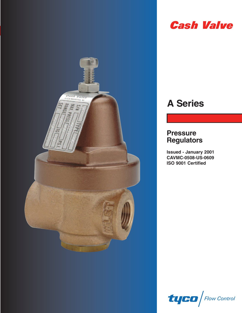

# **Cash Valve**

# **A Series**

### **Pressure Regulators**

**Issued - January 2001 CAVMC-0508-US-0609 ISO 9001 Certified**

 $t$ uco $\sqrt{\frac{F_{\text{row}}}{F_{\text{conv}}}}$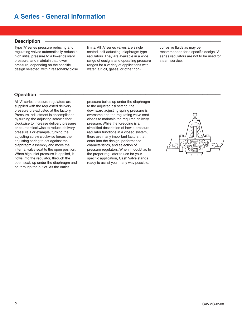### **Description \_\_\_\_\_\_\_\_\_\_\_\_\_\_\_\_\_\_\_\_\_\_\_\_\_\_\_\_\_\_\_\_\_\_\_\_\_\_\_\_\_\_\_\_\_\_\_\_\_\_\_\_\_\_\_\_\_\_\_\_\_\_\_\_\_\_\_\_**

Type 'A' series pressure reducing and regulating valves automatically reduce a high initial pressure to a lower delivery pressure, and maintain that lower pressure, depending on the specific design selected, within reasonably close limits. All 'A' series valves are single seated, self-actuating, diaphragm type regulators. They are available in a wide range of designs and operating pressure ranges for a variety of applications with water, air, oil, gases, or other non-

corrosive fluids as may be recommended for a specific design. 'A' series regulators are not to be used for steam service.

### **Operation \_\_\_\_\_\_\_\_\_\_\_\_\_\_\_\_\_\_\_\_\_\_\_\_\_\_\_\_\_\_\_\_\_\_\_\_\_\_\_\_\_\_\_\_\_\_\_\_\_\_\_\_\_\_\_\_\_\_\_\_\_\_\_\_\_\_\_\_\_\_**

All 'A' series pressure regulators are supplied with the requested delivery pressure pre-adjusted at the factory. Pressure adjustment is accomplished by turning the adjusting screw either clockwise to increase delivery pressure or counterclockwise to reduce delivery pressure. For example, turning the adjusting screw clockwise forces the adjusting spring to act against the diaphragm assembly and move the internal valve seat to the open position. When high inlet pressure is applied, it flows into the regulator, through the open seat, up under the diaphragm and on through the outlet. As the outlet

pressure builds up under the diaphragm to the adjusted psi setting, the downward adjusting spring pressure is overcome and the regulating valve seat closes to maintain the required delivery pressure. While the foregoing is a simplified description of how a pressure regulator functions in a closed system, there are many important factors that enter into the design, performance characteristics, and selection of pressure regulators. When in doubt as to the proper regulator to use for your specific application, Cash Valve stands ready to assist you in any way possible.

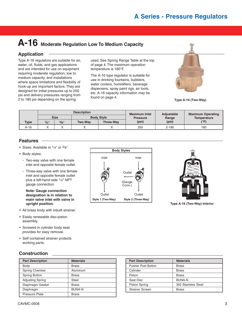# **A-16 Moderate Regulation Low To Medium Capacity**

Type A-16 regulators are suitable for air, water, oil, fluids, and gas applications and are intended for use on equipment requiring moderate regulation, low to medium capacity, and installations where space limitations and flexibility of hook-up are important factors. They are designed for initial pressures up to 250 psi and delivery pressures ranging from 2 to 180 psi depending on the spring

used. See Spring Range Table at the top of page 4. The maximum operation temperature is 180°F.

The A-16 type regulator is suitable for use in drinking fountains, bubblers, water coolers, humidifiers, beverage dispensers, spray paint rigs, air tools, etc. A-16 capacity information may be found on page 4.



**Type A-16 (Two-Way)**

|             |                                  |       | <b>Description</b> |                  | <b>Maximum Inlet</b> | <b>Adjustable</b> | <b>Maximum Operating</b> |  |
|-------------|----------------------------------|-------|--------------------|------------------|----------------------|-------------------|--------------------------|--|
|             | <b>Size</b><br><b>Body Style</b> |       | <b>Pressure</b>    | Range            | Temperature          |                   |                          |  |
| <b>Type</b> | 1/4"                             | 3/g'' | <b>Two-Way</b>     | <b>Three-Wav</b> | (psi)                | (psi)             | (°F)                     |  |
| A-16        |                                  |       |                    |                  | 250                  | $2 - 180$         | 180                      |  |

### **Features \_\_\_\_\_\_\_\_\_\_\_\_\_\_\_\_\_\_\_\_\_\_\_\_\_\_\_\_\_\_\_\_\_\_\_\_\_\_\_\_\_\_\_\_\_\_\_\_\_\_\_\_\_\_\_\_\_\_\_\_\_\_\_\_\_\_\_\_\_\_**

- Sizes: Available in 1/4" or 3/8"
- Body styles:
	- Two-way valve with one female inlet and opposite female outlet.
	- Three-way valve with one female inlet and opposite female outlet plus a left-hand side 1/4" NPT gauge connection.

**Note: Gauge connection designation is in relation to main valve inlet with valve in upright position.**

- All brass body with inbuilt strainer.
- Easily renewable disc-piston assembly.
- Screwed in cylinder body seat provides for easy removal.
- Self contained strainer protects working parts.

### **Construction \_\_\_\_\_\_\_\_\_\_\_\_\_\_\_\_\_\_\_\_\_\_\_\_\_\_\_\_\_\_\_\_\_\_\_\_\_\_\_\_\_\_\_\_\_\_\_\_\_\_\_\_\_\_\_\_\_\_\_\_\_\_\_\_\_\_**

| <b>Part Description</b> | <b>Materials</b> |
|-------------------------|------------------|
| Body                    | <b>Brass</b>     |
| Spring Chamber          | Aluminum         |
| <b>Spring Button</b>    | <b>Brass</b>     |
| <b>Adjusting Spring</b> | Steel            |
| Diaphragm Gasket        | <b>Brass</b>     |
| Diaphragm               | <b>BUNA-N</b>    |
| <b>Pressure Plate</b>   | <b>Brass</b>     |





**Type A-16 (Two-Way) Interior**

| <b>Part Description</b>   | <b>Materials</b>    |
|---------------------------|---------------------|
| <b>Pusher Post Button</b> | <b>Brass</b>        |
| Cylinder                  | <b>Brass</b>        |
| Piston                    | <b>Brass</b>        |
| Seat Disc                 | <b>BUNA-N</b>       |
| <b>Piston Spring</b>      | 302 Stainless Steel |
| <b>Strainer Screen</b>    | <b>Brass</b>        |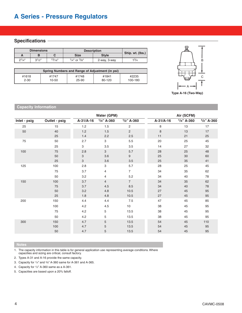### **Specifications -**

| <b>Dimensions</b> |            |        | <b>Description</b> | Ship. wt. (lbs.) |           |
|-------------------|------------|--------|--------------------|------------------|-----------|
|                   |            |        | Size               | <b>Style</b>     |           |
| $2^{1/4"}$        | $3^{1}/2"$ | 13/16" | $1/4$ " or $3/8$ " | 2-way, 3-way     | $1^{3/4}$ |

| Spring Numbers and Range of Adjustment (in psi) |       |       |        |         |  |  |  |  |
|-------------------------------------------------|-------|-------|--------|---------|--|--|--|--|
| #1618                                           | #1747 | #1748 | #1841  | #2235   |  |  |  |  |
| $2 - 30$                                        | 10-50 | 25-90 | 80-120 | 100-180 |  |  |  |  |



**Type A-16 (Two-Way)**

#### **Capacity Information**

|              |               |             | Water (GPM)               |                | Air (SCFM)  |               |               |  |
|--------------|---------------|-------------|---------------------------|----------------|-------------|---------------|---------------|--|
| Inlet - psig | Outlet - psig | $A-31/A-16$ | $1/4$ " A-360             | $1/2$ " A-360  | $A-31/A-16$ | $1/4$ " A-360 | $1/2$ " A-360 |  |
| 25           | 15            | 1.2         | 1.5                       | 2              | 8           | 13            | 17            |  |
| 50           | 40            | 1.2         | 1.5                       | $\overline{c}$ | 8           | 13            | 17            |  |
|              | 25            | 1.4         | 2.2                       | 2.5            | 11          | 21            | 25            |  |
| 75           | 50            | 2.7         | $\ensuremath{\mathsf{3}}$ | 5.5            | 20          | 25            | 45            |  |
|              | 25            | 3           | 3.5                       | 3.5            | 14          | 27            | 32            |  |
| 100          | 75            | 2.8         | $\mathbf{3}$              | 5.7            | 28          | 25            | 48            |  |
|              | 50            | 3           | 3.6                       | $9\,$          | 25          | 30            | 60            |  |
|              | 25            | 3           | 3.6                       | 3.5            | 25          | 35            | 41            |  |
| 125          | 100           | 2.8         | 3                         | 5.7            | 28          | 25            | 45            |  |
|              | 75            | 3.7         | 4                         | $\overline{7}$ | 34          | 35            | 62            |  |
|              | 50            | 3.2         | 4                         | 5.2            | 34          | 40            | 78            |  |
| 150          | 100           | 3.7         | $\overline{4}$            | $\overline{7}$ | 34          | 35            | 62            |  |
|              | 75            | 3.7         | 4.5                       | 8.5            | 34          | 40            | 78            |  |
|              | 50            | 3.2         | 4.8                       | 10.5           | 27          | 45            | 95            |  |
|              | 25            | 1.8         | 4.8                       | 10.5           | 27          | 45            | 95            |  |
| 200          | 150           | 4.4         | 4.4                       | 7.5            | 47          | 45            | 85            |  |
|              | 100           | 4.2         | 4.5                       | 10             | 38          | 45            | 95            |  |
|              | 75            | 4.2         | 5                         | 13.5           | 38          | 45            | 95            |  |
|              | 50            | 4.2         | 5                         | 13.5           | 38          | 45            | 95            |  |
| 300          | 150           | 4.7         | 5                         | 13.5           | 54          | 45            | 110           |  |
|              | 100           | 4.7         | 5                         | 13.5           | 54          | 45            | 95            |  |
|              | 50            | 4.7         | 5                         | 13.5           | 54          | 45            | 95            |  |
|              |               |             |                           |                |             |               |               |  |

1. The capacity information in this table is for general application use representing average conditions. Where capacities and sizing are critical, consult factory.

2. Types A-31 and A-16 provide the same capacity.

3. Capacity for 1/4" and 3/8" A-360 same for A-361 and A-365.

4. Capacity for 1/2" A-360 same as a A-361.

5. Capacities are based upon a 20% falloff.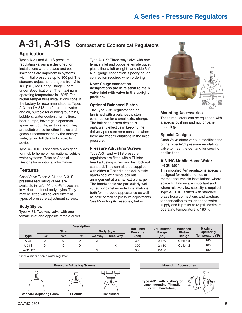## **A-31, A-31S Compact and Economical Regulators**

Types A-31 and A-31S pressure regulating valves are designed for installations where space and cost limitations are important in systems with initial pressures up to 300 psi. The standard adjustment range is from 2 to 180 psi. (See Spring Range Chart under Specifications.) The maximum operating temperature is 180°F. For higher temperature installations consult the factory for recommendations. Types A-31 and A-31S are for use on water and air, suitable for drinking fountains, bubblers, water coolers, humidifiers, beer pumps, beverage dispensers, spray paint outfits, air tools, etc. They are suitable also for other liquids and gases if recommended by the factory; write, giving full details for specific advice.

Type A-31HC is specifically designed for mobile home or recreational vehicle water systems. Refer to Special Designs for additional information.

#### **Features**

Cash Valve Types A-31 and A-31S pressure regulating valves are available in  $\frac{1}{8}$ ",  $\frac{1}{4}$ " and  $\frac{3}{8}$ " sizes and in various optional body styles. They may be fitted with several different types of pressure adjustment screws.

#### **Body Styles**

Type A-31: Two-way valve with one female inlet and opposite female outlet.

Type A-31S: Three-way valve with one female inlet and opposite female outlet plus either a left or right-hand side 1/4" NPT gauge connection. Specify gauge connection required when ordering.

**Note: Gauge connection designations are in relation to main valve inlet with valve in the upright position.**

#### **Optional Balanced Piston**

The Type A-31 regulator can be furnished with a balanced piston construction for a small extra charge. The balanced piston design is particularly effective in keeping the delivery pressure near constant when there are wide fluctuations in the inlet pressure.

#### **Pressure Adjusting Screws**

Type A-31 and A-31S pressure regulators are fitted with a Fillister head adjusting screw and hex lock nut standard. They can also be supplied with either a T-handle or black plastic handwheel with wing lock nut arrangement at a small extra charge. The handwheels are particularly well suited for panel mounted installations both for improved appearance as well as ease of making pressure adjustments. See Mounting Accessories, below.



#### **Mounting Accessories**

These regulators can be equipped with a special bushing and nut for panel mounting.

#### **Special Designs**

Cash Valve offers various modifications of the Type A-31 pressure regulating valve to meet the demand for specific applications.

#### **A-31HC Mobile Home Water Regulator**

This modified 3/8" regulator is specially designed for mobile homes or recreational vehicle installations where space limitations are important and where relatively low capacity is required. Type A-31HC is fitted with standard brass hose connections and washers for connection to trailer and to water supply and is preset at 45 psi. Maximum operating temperature is 180°F.

|            |      |             | <b>Description</b> |                   |                  | Max. Inlet      |                            | <b>Balanced</b> | <b>Maximum</b>   |
|------------|------|-------------|--------------------|-------------------|------------------|-----------------|----------------------------|-----------------|------------------|
|            |      | <b>Size</b> |                    | <b>Body Style</b> |                  | <b>Pressure</b> | <b>Adjustment</b><br>Range | <b>Piston</b>   | Operating        |
| Type       | 1/8" | 1/4"        | 3/8"               | <b>Two-Wav</b>    | <b>Three-Way</b> | (psi)           | (psi)                      | <b>Design</b>   | Temperature (°F) |
| $A-31$     |      |             | $\lambda$          |                   |                  | 300             | $2 - 180$                  | Optional        | 180              |
| $A-31S$    |      |             | $\lambda$          |                   |                  | 300             | $2 - 180$                  | Optional        | 180              |
| $A-31HC$ * |      |             |                    |                   |                  | 300             | $2 - 180$                  |                 | 180              |

\*Special mobile home water regulator



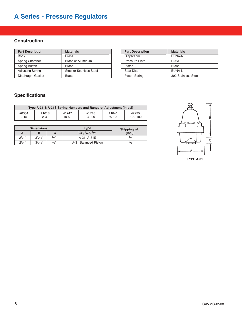### **Construction \_\_\_\_\_\_\_\_\_\_\_\_\_\_\_\_\_\_\_\_\_\_\_\_\_\_\_\_\_\_\_\_\_\_\_\_\_\_\_\_\_\_\_\_\_\_\_\_\_\_\_\_\_\_\_\_\_\_\_\_\_\_\_\_\_\_**

| <b>Part Description</b> | <b>Materials</b>         | <b>Part Description</b> | <b>Materials</b> |
|-------------------------|--------------------------|-------------------------|------------------|
| Body                    | <b>Brass</b>             | Diaphragm               | BUNA-N           |
| Spring Chamber          | <b>Brass or Aluminum</b> | <b>Pressure Plate</b>   | <b>Brass</b>     |
| Spring Button           | <b>Brass</b>             | Piston                  | <b>Brass</b>     |
| <b>Adjusting Spring</b> | Steel or Stainless Steel | Seat Disc               | <b>BUNA-N</b>    |
| Diaphragm Gasket        | <b>Brass</b>             | <b>Piston Spring</b>    | 302 Stain        |

| <b>Part Description</b> | <b>Materials</b>    |
|-------------------------|---------------------|
| Diaphragm               | <b>BUNA-N</b>       |
| <b>Pressure Plate</b>   | <b>Brass</b>        |
| Piston                  | <b>Brass</b>        |
| Seat Disc               | <b>BUNA-N</b>       |
| <b>Piston Spring</b>    | 302 Stainless Steel |

### **Specifications \_\_\_\_\_\_\_\_\_\_\_\_\_\_\_\_\_\_\_\_\_\_\_\_\_\_\_\_\_\_\_\_\_\_\_\_\_\_\_\_\_\_\_\_\_\_\_\_\_\_\_\_\_\_\_\_\_\_\_\_\_\_\_\_\_\_**

| Type A-31 & A-31S Spring Numbers and Range of Adjustment (in psi) |          |           |       |        |         |  |  |  |
|-------------------------------------------------------------------|----------|-----------|-------|--------|---------|--|--|--|
| #6354                                                             | #1618    | #1747     | #1748 | #1841  | #2235   |  |  |  |
| $2 - 15$                                                          | $2 - 30$ | $10 - 50$ | 30-90 | 80-120 | 100-180 |  |  |  |

|            | <b>Dimensions</b> |         | <b>Type</b>              | Shipping wt. |
|------------|-------------------|---------|--------------------------|--------------|
| А          |                   |         | $1/8"$ , $1/4"$ , $3/8"$ | (lbs.)       |
| $2^{1/4"}$ | $3^{3/16}$        | $1/4$ " | A-31, A-31S              | 11/4         |
| $2^{1/4"}$ | $3^{3/16"$        | 5/8"    | A-31 Balanced Piston     | $1^{3}/8$    |

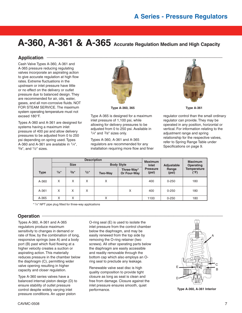# **A-360, A-361 & A-365 Accurate Regulation Medium and High Capacity**

### **Application \_\_\_\_\_\_\_\_\_\_\_\_\_\_\_\_\_\_\_\_\_\_\_\_\_\_\_\_\_\_\_\_\_\_\_\_\_\_\_\_\_\_\_\_\_\_\_\_\_\_\_\_\_\_\_\_\_\_\_\_\_\_\_\_\_\_\_\_**

Cash Valve Types A-360, A-361 and A-365 pressure reducing regulating valves incorporate an aspirating action to give accurate regulation at high flow rates. Extreme fluctuations in the upstream or inlet pressure have little or no effect on the delivery or outlet pressure due to balanced design. They are recommended for air, oils, water, gases, and all non-corrosive fluids. NOT FOR STEAM SERVICE. The maximum system operating temperature must not exceed 180°F.

Types A-360 and A-361 are designed for systems having a maximum inlet pressure of 400 psi and allow delivery pressures to be adjusted from 0 to 250 psi depending on spring used. Types A-360 and A-361 are available in  $1/4$ ",  $3/8$ ", and  $1/2$ " sizes.



**Type A-360, 365**

Type A-365 is designed for a maximum inlet pressure of 1,100 psi, while allowing for delivery pressures to be adjusted from 0 to 250 psi. Available in  $1/4$ " and  $3/8$ " sizes only.

Types A-360, A-361 and A-365 regulators are recommended for any installation requiring more flow and finer



**Type A-361**

regulator control than the small ordinary regulator can provide. They may be operated in any position, horizontal or vertical. For information relating to the adjustment range and spring relationship for the respective valves, refer to Spring Range Table under Specifications on page 9.

|             |      |             | <b>Description</b> |                | <b>Maximum</b>            |                          | <b>Maximum</b> |                                     |
|-------------|------|-------------|--------------------|----------------|---------------------------|--------------------------|----------------|-------------------------------------|
|             |      | <b>Size</b> |                    |                | <b>Body Style</b>         | Inlet                    | Adjustable     | Operating                           |
| <b>Type</b> | 1/4" | 3/8"        | 1/2"               | <b>Two-Way</b> | Three-Way*<br>Or Four-Way | <b>Pressure</b><br>(psi) | Range<br>(psi) | <b>Temperature</b><br>$(^{\circ}F)$ |
| A-360       | X    | X           | X                  | X              |                           | 400                      | $0 - 250$      | 180                                 |
| $A - 361$   | X    | X           | X                  |                | X                         | 400                      | $0 - 250$      | 180                                 |
| A-365       | X    | Χ           |                    | X              |                           | 1100                     | $0 - 250$      | 180                                 |

\* 1/4" NPT pipe plug fitted for three-way applications

### **Operation \_\_\_\_\_\_\_\_\_\_\_\_\_\_\_\_\_\_\_\_\_\_\_\_\_\_\_\_\_\_\_\_\_\_\_\_\_\_\_\_\_\_\_\_\_\_\_\_\_\_\_\_\_\_\_\_\_\_\_\_\_\_\_\_\_\_\_\_\_\_**

Types A-360, A-361 and A-365 regulators produce maximum sensitivity to changes in demand or rate of flow, by the combination of long, responsive springs (see A) and a body port (B) past which fluid flowing at a higher velocity creates a suction or aspirating action. This materially reduces pressure in the chamber below the diaphragm (C), permitting wider valve opening resulting in higher capacity and closer regulation.

Type A-360 series valves have a balanced internal piston design (D) to ensure stability of outlet pressure control despite widely varying inlet pressure conditions. An upper piston

O-ring seal (E) is used to isolate the inlet pressure from the control chamber below the diaphragm, and may be easily renewed from the top side by removing the O-ring retainer (two screws). All other operating parts below the diaphragm are easily accessible and readily removable through the bottom cap which also employs an Oring seal to preclude any leakage.

Renewable valve seat disc is high quality composition to provide tight closure as long as seat is clean and free from damage. Closure against the inlet pressure ensures smooth, quiet performance.



**Type A-360, A-361 Interior**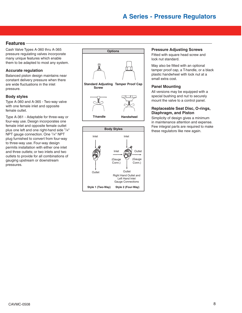### **Features \_\_\_\_\_\_\_\_\_\_\_\_\_\_\_\_\_\_\_\_\_\_\_\_\_\_\_\_\_\_\_\_\_\_\_\_\_\_\_\_\_\_\_\_\_\_\_\_\_\_\_\_\_\_\_\_\_\_\_\_\_\_\_\_\_\_\_\_\_\_\_\_**

Cash Valve Types A-360 thru A-365 pressure regulating valves incorporate many unique features which enable them to be adapted to most any system.

#### **Accurate regulation**

Balanced piston design maintains near constant delivery pressure when there are wide fluctuations in the inlet pressure.

#### **Body styles**

Type A-360 and A-365 - Two-way valve with one female inlet and opposite female outlet.

Type A-361 - Adaptable for three-way or four-way use. Design incorporates one female inlet and opposite female outlet plus one left and one right-hand side 1/4" NPT gauge connection. One 1/4" NPT plug furnished to convert from four-way to three-way use. Four-way design permits installation with either one inlet and three outlets; or two inlets and two outlets to provide for all combinations of gauging upstream or downstream pressures.





#### **Pressure Adjusting Screws**

Fitted with square head screw and lock nut standard.

May also be fitted with an optional tamper proof cap, a T-handle, or a black plastic handwheel with lock nut at a small extra cost.

#### **Panel Mounting**

All versions may be equipped with a special bushing and nut to securely mount the valve to a control panel.

#### **Replaceable Seat Disc, O-rings, Diaphragm, and Piston**

Simplicity of design gives a minimum in maintenance attention and expense. Few integral parts are required to make these regulators like new again.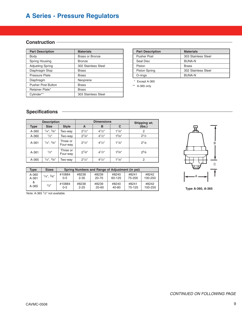### Construction –

| <b>Part Description</b>   | <b>Materials</b>    |  | <b>Part Description</b> | <b>Materials</b> |
|---------------------------|---------------------|--|-------------------------|------------------|
| Body                      | Brass or Bronze     |  | <b>Pusher Post</b>      | 303 Stain        |
| Spring Housing            | <b>Bronze</b>       |  | Seat Disc               | BUNA-N           |
| <b>Adjusting Spring</b>   | 302 Stainless Steel |  | Piston                  | <b>Brass</b>     |
| Diaphragm Stop            | <b>Brass</b>        |  | <b>Piston Spring</b>    | 302 Stain        |
| Pressure Plate            | <b>Brass</b>        |  | O-rings                 | BUNA-N           |
| Diaphragm                 | Neoprene            |  | Except A-365            |                  |
| <b>Pusher Post Button</b> | <b>Brass</b>        |  | ** A-365 only           |                  |
| Retainer Plate*           | <b>Brass</b>        |  |                         |                  |
| Cvlinder**                | 303 Stainless Steel |  |                         |                  |

| <b>Part Description</b> | <b>Materials</b>    |  |  |
|-------------------------|---------------------|--|--|
| <b>Pusher Post</b>      | 303 Stainless Steel |  |  |
| Seat Disc               | <b>BUNA-N</b>       |  |  |
| Piston                  | <b>Brass</b>        |  |  |
| <b>Piston Spring</b>    | 302 Stainless Steel |  |  |
| O-rings                 | <b>BUNA-N</b>       |  |  |

### **Specifications**  $-$

| <b>Description</b> |                  | <b>Dimensions</b>    |            |             | Shipping wt.       |           |
|--------------------|------------------|----------------------|------------|-------------|--------------------|-----------|
| Type               | <b>Size</b>      | <b>Style</b>         | A          | в           | C                  | (lbs.)    |
| A-360              | $1/4$ ", $3/8$ " | Two-wav              | $2^{1/2"}$ | $4^{1}/2$ " | 11/8"              | 2         |
| A-360              | $1/2$ "          | Two-wav              | $2^{7}/8"$ | $4^{1}/2$ " | 15/8"              | $2^{1/2}$ |
| $A - 361$          | $1/4$ ", $3/8$ " | Three or<br>Four-way | $2^{1/2}$  | $4^{1}/2$ " | 1 <sup>1</sup> /8" | $2^{1/8}$ |
| $A - 361$          | $1/2$ "          | Three or<br>Four-way | $2^{7}/8"$ | $4^{1}/2$ " | $1^{\frac{5}{8}}$  | $2^{5/8}$ |
| A-365              | $1/4$ ", $3/8$ " | Two-wav              | $2^{1/2}$  | $4^{1}/2$ " | 11/8"              | 2         |



**Type A-360, A-365**

| A-360 | $1/4$ ", $3/8$ " | #10884        | #8238             | #8239          | #8240          | #8241           | #8242            |
|-------|------------------|---------------|-------------------|----------------|----------------|-----------------|------------------|
| A-361 |                  | $0 - 5$       | $2 - 35$          | 20-70          | 60-125         | 75-200          | 100-250          |
| A-365 | 1/2"             | #10884<br>0-5 | #8238<br>$2 - 25$ | #8239<br>20-60 | #8240<br>40-80 | #8241<br>75-125 | #8242<br>100-250 |

**Type Sizes Spring Numbers and Range of Adjustment (in psi)** 

Note: A-365 1/2" not available.